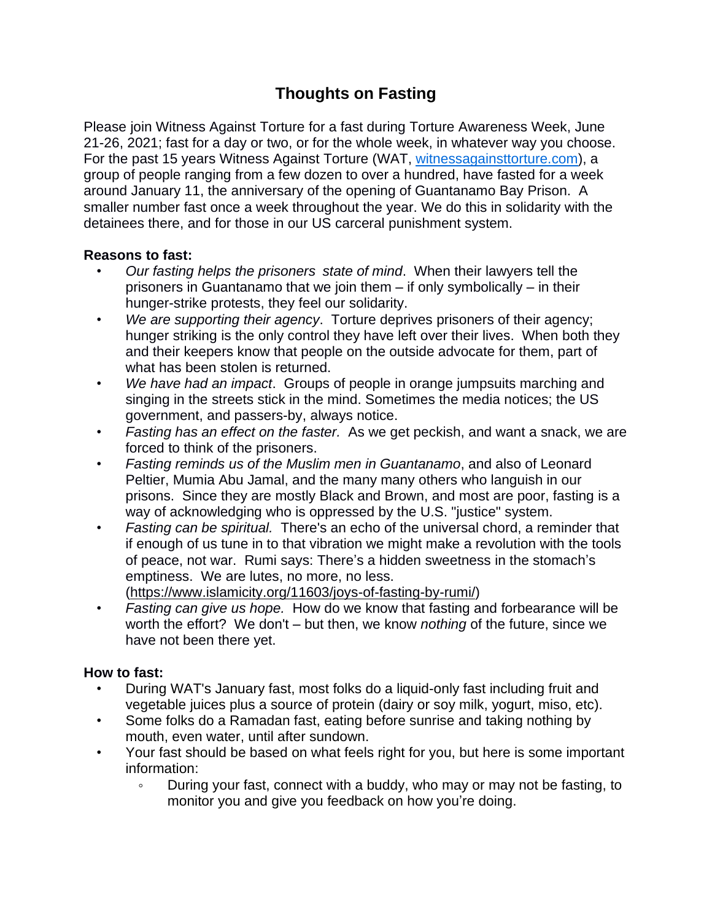## **Thoughts on Fasting**

Please join Witness Against Torture for a fast during Torture Awareness Week, June 21-26, 2021; fast for a day or two, or for the whole week, in whatever way you choose. For the past 15 years Witness Against Torture (WAT, [witnessagainsttorture.com\)](http://witnessagainsttorture.com/), a group of people ranging from a few dozen to over a hundred, have fasted for a week around January 11, the anniversary of the opening of Guantanamo Bay Prison. A smaller number fast once a week throughout the year. We do this in solidarity with the detainees there, and for those in our US carceral punishment system.

## **Reasons to fast:**

- *Our fasting helps the prisoners state of mind*. When their lawyers tell the prisoners in Guantanamo that we join them – if only symbolically – in their hunger-strike protests, they feel our solidarity.
- *We are supporting their agency*. Torture deprives prisoners of their agency; hunger striking is the only control they have left over their lives. When both they and their keepers know that people on the outside advocate for them, part of what has been stolen is returned.
- *We have had an impact*. Groups of people in orange jumpsuits marching and singing in the streets stick in the mind. Sometimes the media notices; the US government, and passers-by, always notice.
- *Fasting has an effect on the faster.* As we get peckish, and want a snack, we are forced to think of the prisoners.
- *Fasting reminds us of the Muslim men in Guantanamo*, and also of Leonard Peltier, Mumia Abu Jamal, and the many many others who languish in our prisons. Since they are mostly Black and Brown, and most are poor, fasting is a way of acknowledging who is oppressed by the U.S. "justice" system.
- *Fasting can be spiritual.* There's an echo of the universal chord, a reminder that if enough of us tune in to that vibration we might make a revolution with the tools of peace, not war. Rumi says: There's a hidden sweetness in the stomach's emptiness. We are lutes, no more, no less. [\(https://www.islamicity.org/11603/joys-of-fasting-by-rumi/\)](https://www.islamicity.org/11603/joys-of-fasting-by-rumi/)
- *Fasting can give us hope.* How do we know that fasting and forbearance will be worth the effort? We don't – but then, we know *nothing* of the future, since we have not been there yet.

## **How to fast:**

- During WAT's January fast, most folks do a liquid-only fast including fruit and vegetable juices plus a source of protein (dairy or soy milk, yogurt, miso, etc).
- Some folks do a Ramadan fast, eating before sunrise and taking nothing by mouth, even water, until after sundown.
- Your fast should be based on what feels right for you, but here is some important information:
	- During your fast, connect with a buddy, who may or may not be fasting, to monitor you and give you feedback on how you're doing.